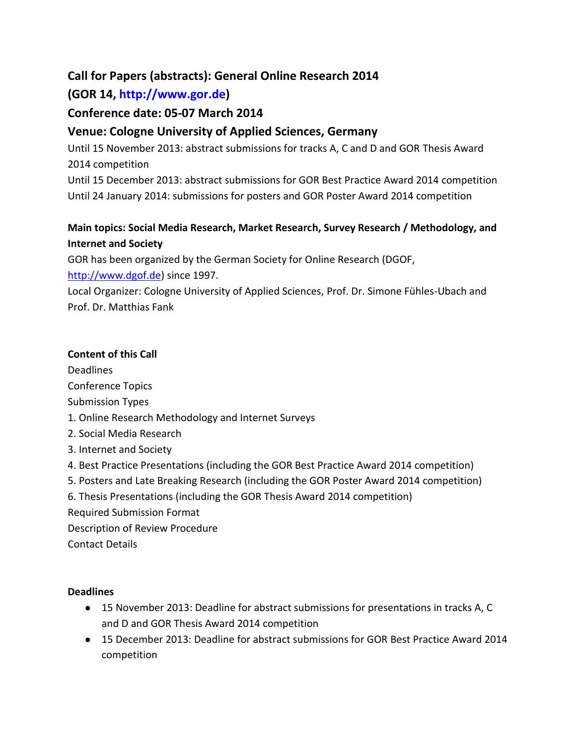# **Call for Papers (abstracts): General Online Research 2014**

# **(GOR 14, http://www.gor.de)**

# **Conference date: 05-07 March 2014**

# **Venue: Cologne University of Applied Sciences, Germany**

Until 15 November 2013: abstract submissions for tracks A, C and D and GOR Thesis Award 2014 competition

Until 15 December 2013: abstract submissions for GOR Best Practice Award 2014 competition Until 24 January 2014: submissions for posters and GOR Poster Award 2014 competition

# **Main topics: Social Media Research, Market Research, Survey Research / Methodology, and Internet and Society**

GOR has been organized by the German Society for Online Research (DGOF,

[http://www.dgof.de\)](http://www.dgof.de/) since 1997.

Local Organizer: Cologne University of Applied Sciences, Prof. Dr. Simone Fühles-Ubach and Prof. Dr. Matthias Fank

# **Content of this Call**

Deadlines Conference Topics Submission Types 1. Online Research Methodology and Internet Surveys 2. Social Media Research 3. Internet and Society 4. Best Practice Presentations (including the GOR Best Practice Award 2014 competition) 5. Posters and Late Breaking Research (including the GOR Poster Award 2014 competition) 6. Thesis Presentations (including the GOR Thesis Award 2014 competition) Required Submission Format

Description of Review Procedure

Contact Details

### **Deadlines**

- 15 November 2013: Deadline for abstract submissions for presentations in tracks A, C and D and GOR Thesis Award 2014 competition
- 15 December 2013: Deadline for abstract submissions for GOR Best Practice Award 2014 competition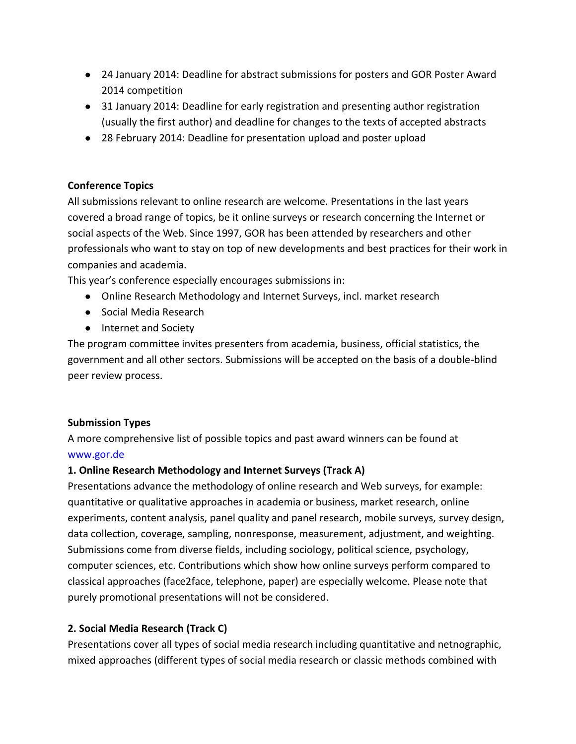- 24 January 2014: Deadline for abstract submissions for posters and GOR Poster Award 2014 competition
- 31 January 2014: Deadline for early registration and presenting author registration (usually the first author) and deadline for changes to the texts of accepted abstracts
- 28 February 2014: Deadline for presentation upload and poster upload

#### **Conference Topics**

All submissions relevant to online research are welcome. Presentations in the last years covered a broad range of topics, be it online surveys or research concerning the Internet or social aspects of the Web. Since 1997, GOR has been attended by researchers and other professionals who want to stay on top of new developments and best practices for their work in companies and academia.

This year's conference especially encourages submissions in:

- Online Research Methodology and Internet Surveys, incl. market research
- Social Media Research
- Internet and Society

The program committee invites presenters from academia, business, official statistics, the government and all other sectors. Submissions will be accepted on the basis of a double-blind peer review process.

### **Submission Types**

A more comprehensive list of possible topics and past award winners can be found at www.gor.de

### **1. Online Research Methodology and Internet Surveys (Track A)**

Presentations advance the methodology of online research and Web surveys, for example: quantitative or qualitative approaches in academia or business, market research, online experiments, content analysis, panel quality and panel research, mobile surveys, survey design, data collection, coverage, sampling, nonresponse, measurement, adjustment, and weighting. Submissions come from diverse fields, including sociology, political science, psychology, computer sciences, etc. Contributions which show how online surveys perform compared to classical approaches (face2face, telephone, paper) are especially welcome. Please note that purely promotional presentations will not be considered.

### **2. Social Media Research (Track C)**

Presentations cover all types of social media research including quantitative and netnographic, mixed approaches (different types of social media research or classic methods combined with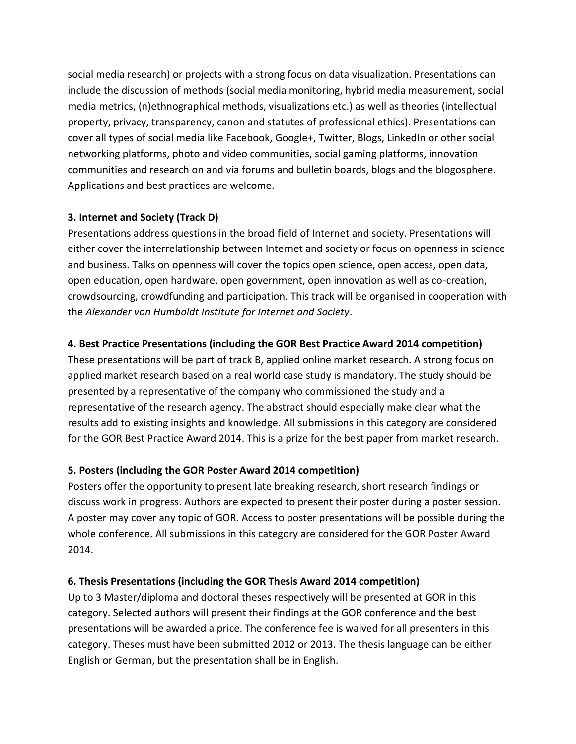social media research) or projects with a strong focus on data visualization. Presentations can include the discussion of methods (social media monitoring, hybrid media measurement, social media metrics, (n)ethnographical methods, visualizations etc.) as well as theories (intellectual property, privacy, transparency, canon and statutes of professional ethics). Presentations can cover all types of social media like Facebook, Google+, Twitter, Blogs, LinkedIn or other social networking platforms, photo and video communities, social gaming platforms, innovation communities and research on and via forums and bulletin boards, blogs and the blogosphere. Applications and best practices are welcome.

# **3. Internet and Society (Track D)**

Presentations address questions in the broad field of Internet and society. Presentations will either cover the interrelationship between Internet and society or focus on openness in science and business. Talks on openness will cover the topics open science, open access, open data, open education, open hardware, open government, open innovation as well as co-creation, crowdsourcing, crowdfunding and participation. This track will be organised in cooperation with the *Alexander von Humboldt Institute for Internet and Society*.

# **4. Best Practice Presentations (including the GOR Best Practice Award 2014 competition)**

These presentations will be part of track B, applied online market research. A strong focus on applied market research based on a real world case study is mandatory. The study should be presented by a representative of the company who commissioned the study and a representative of the research agency. The abstract should especially make clear what the results add to existing insights and knowledge. All submissions in this category are considered for the GOR Best Practice Award 2014. This is a prize for the best paper from market research.

# **5. Posters (including the GOR Poster Award 2014 competition)**

Posters offer the opportunity to present late breaking research, short research findings or discuss work in progress. Authors are expected to present their poster during a poster session. A poster may cover any topic of GOR. Access to poster presentations will be possible during the whole conference. All submissions in this category are considered for the GOR Poster Award 2014.

# **6. Thesis Presentations (including the GOR Thesis Award 2014 competition)**

Up to 3 Master/diploma and doctoral theses respectively will be presented at GOR in this category. Selected authors will present their findings at the GOR conference and the best presentations will be awarded a price. The conference fee is waived for all presenters in this category. Theses must have been submitted 2012 or 2013. The thesis language can be either English or German, but the presentation shall be in English.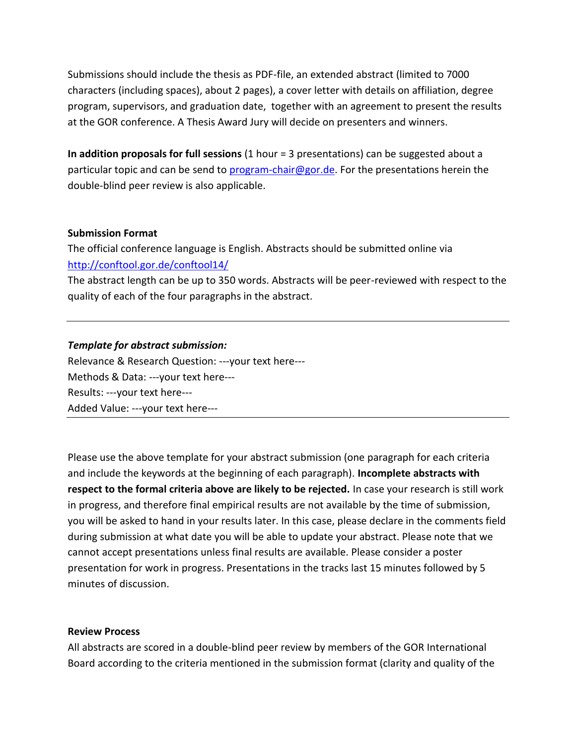Submissions should include the thesis as PDF-file, an extended abstract (limited to 7000 characters (including spaces), about 2 pages), a cover letter with details on affiliation, degree program, supervisors, and graduation date, together with an agreement to present the results at the GOR conference. A Thesis Award Jury will decide on presenters and winners.

**In addition proposals for full sessions** (1 hour = 3 presentations) can be suggested about a particular topic and can be send to [program-chair@gor.de.](mailto:program-chair@gor.de) For the presentations herein the double-blind peer review is also applicable.

#### **Submission Format**

The official conference language is English. Abstracts should be submitted online via [http://conftool.gor.de/conftool14/](http://conftool.gor.de/conftool13/)

The abstract length can be up to 350 words. Abstracts will be peer-reviewed with respect to the quality of each of the four paragraphs in the abstract.

#### *Template for abstract submission:*

Relevance & Research Question: ---your text here--- Methods & Data: ---your text here--- Results: ---your text here--- Added Value: ---your text here---

Please use the above template for your abstract submission (one paragraph for each criteria and include the keywords at the beginning of each paragraph). **Incomplete abstracts with respect to the formal criteria above are likely to be rejected.** In case your research is still work in progress, and therefore final empirical results are not available by the time of submission, you will be asked to hand in your results later. In this case, please declare in the comments field during submission at what date you will be able to update your abstract. Please note that we cannot accept presentations unless final results are available. Please consider a poster presentation for work in progress. Presentations in the tracks last 15 minutes followed by 5 minutes of discussion.

#### **Review Process**

All abstracts are scored in a double-blind peer review by members of the GOR International Board according to the criteria mentioned in the submission format (clarity and quality of the